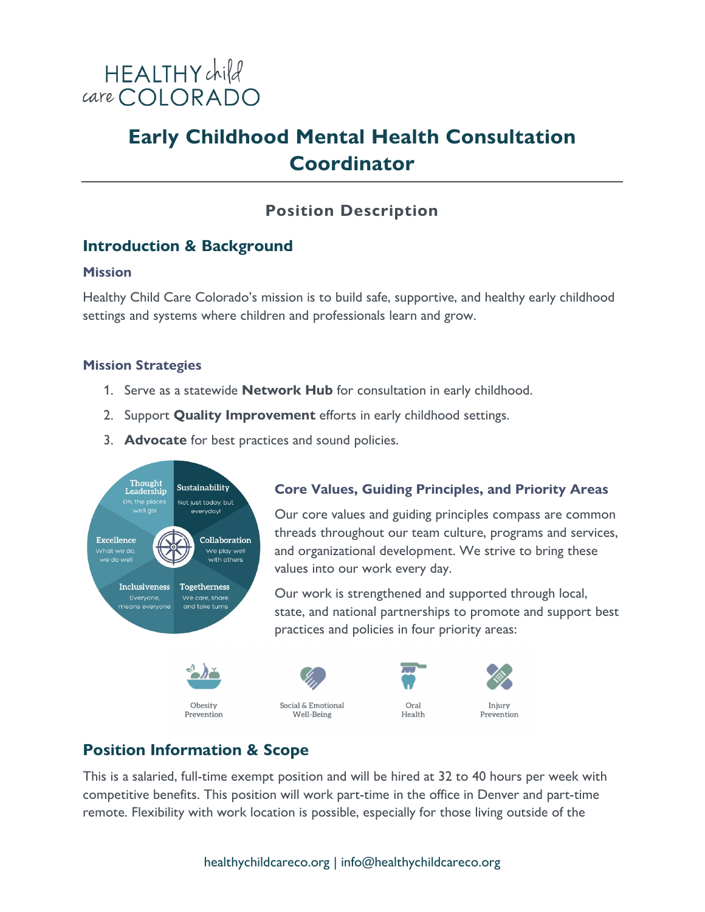

## **Early Childhood Mental Health Consultation Coordinator**

## **Position Description**

## **Introduction & Background**

#### **Mission**

Healthy Child Care Colorado's mission is to build safe, supportive, and healthy early childhood settings and systems where children and professionals learn and grow.

#### **Mission Strategies**

- 1. Serve as a statewide **Network Hub** for consultation in early childhood.
- 2. Support **Quality Improvement** efforts in early childhood settings.
- 3. **Advocate** for best practices and sound policies.



# **Core Values, Guiding Principles, and Priority Areas**

Our core values and guiding principles compass are common threads throughout our team culture, programs and services, and organizational development. We strive to bring these values into our work every day.

Our work is strengthened and supported through local, state, and national partnerships to promote and support best practices and policies in four priority areas:



## **Position Information & Scope**

Obesity

Prevention

This is a salaried, full-time exempt position and will be hired at 32 to 40 hours per week with competitive benefits. This position will work part-time in the office in Denver and part-time remote. Flexibility with work location is possible, especially for those living outside of the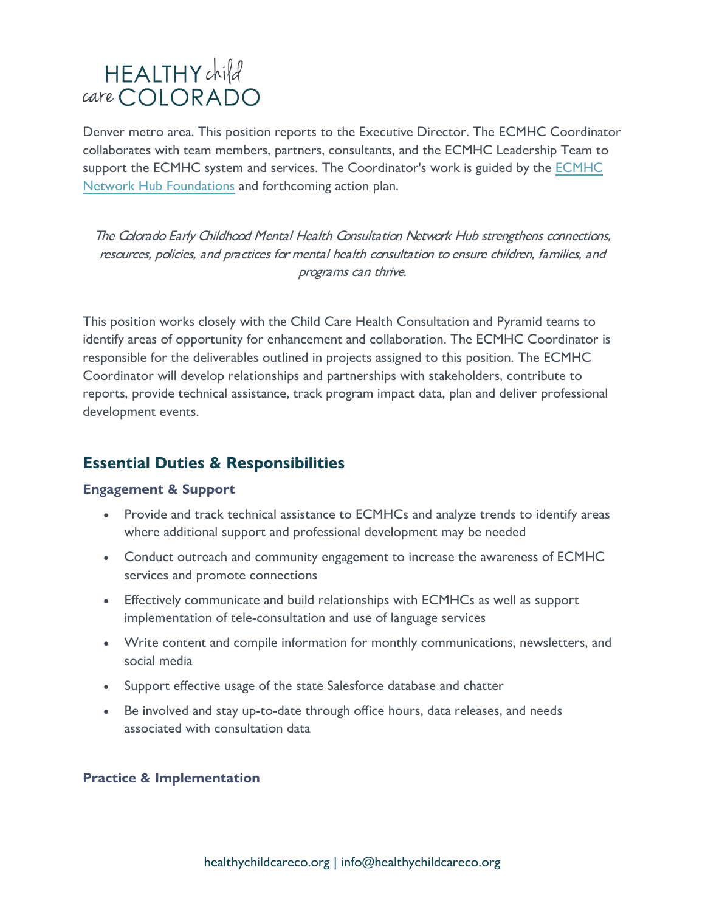Denver metro area. This position reports to the Executive Director. The ECMHC Coordinator collaborates with team members, partners, consultants, and the ECMHC Leadership Team to support the ECMHC system and services. The Coordinator's work is guided by the [ECMHC](https://healthychildcareco.org/wp-content/uploads/2022/02/ECMHC-Network-Hub-Foundations-2022.pdf)  [Network Hub Foundations](https://healthychildcareco.org/wp-content/uploads/2022/02/ECMHC-Network-Hub-Foundations-2022.pdf) and forthcoming action plan.

The Colorado Early Childhood Mental Health Consultation Network Hub strengthens connections, resources, policies, and practices for mental health consultation to ensure children, families, and programs can thrive.

This position works closely with the Child Care Health Consultation and Pyramid teams to identify areas of opportunity for enhancement and collaboration. The ECMHC Coordinator is responsible for the deliverables outlined in projects assigned to this position. The ECMHC Coordinator will develop relationships and partnerships with stakeholders, contribute to reports, provide technical assistance, track program impact data, plan and deliver professional development events.

### **Essential Duties & Responsibilities**

#### **Engagement & Support**

- Provide and track technical assistance to ECMHCs and analyze trends to identify areas where additional support and professional development may be needed
- Conduct outreach and community engagement to increase the awareness of ECMHC services and promote connections
- Effectively communicate and build relationships with ECMHCs as well as support implementation of tele-consultation and use of language services
- Write content and compile information for monthly communications, newsletters, and social media
- Support effective usage of the state Salesforce database and chatter
- Be involved and stay up-to-date through office hours, data releases, and needs associated with consultation data

#### **Practice & Implementation**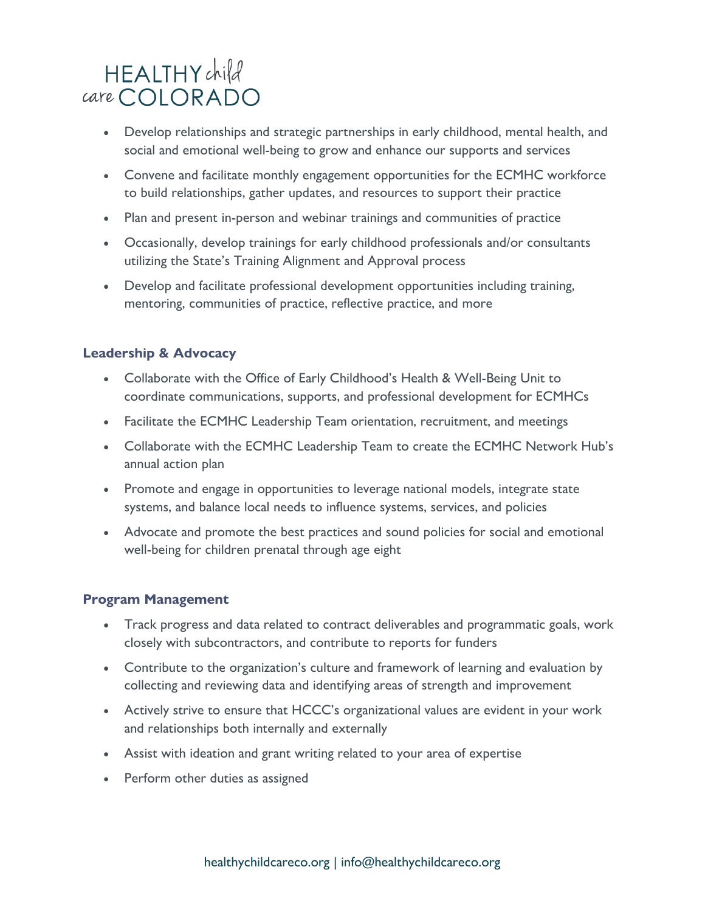- Develop relationships and strategic partnerships in early childhood, mental health, and social and emotional well-being to grow and enhance our supports and services
- Convene and facilitate monthly engagement opportunities for the ECMHC workforce to build relationships, gather updates, and resources to support their practice
- Plan and present in-person and webinar trainings and communities of practice
- Occasionally, develop trainings for early childhood professionals and/or consultants utilizing the State's Training Alignment and Approval process
- Develop and facilitate professional development opportunities including training, mentoring, communities of practice, reflective practice, and more

#### **Leadership & Advocacy**

- Collaborate with the Office of Early Childhood's Health & Well-Being Unit to coordinate communications, supports, and professional development for ECMHCs
- Facilitate the ECMHC Leadership Team orientation, recruitment, and meetings
- Collaborate with the ECMHC Leadership Team to create the ECMHC Network Hub's annual action plan
- Promote and engage in opportunities to leverage national models, integrate state systems, and balance local needs to influence systems, services, and policies
- Advocate and promote the best practices and sound policies for social and emotional well-being for children prenatal through age eight

#### **Program Management**

- Track progress and data related to contract deliverables and programmatic goals, work closely with subcontractors, and contribute to reports for funders
- Contribute to the organization's culture and framework of learning and evaluation by collecting and reviewing data and identifying areas of strength and improvement
- Actively strive to ensure that HCCC's organizational values are evident in your work and relationships both internally and externally
- Assist with ideation and grant writing related to your area of expertise
- Perform other duties as assigned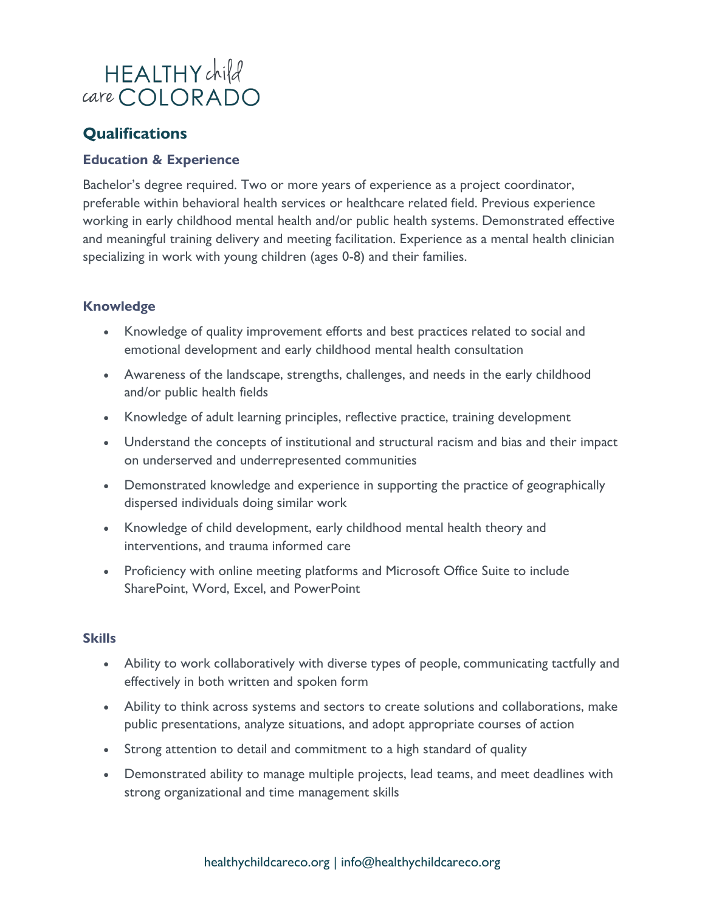## **Qualifications**

#### **Education & Experience**

Bachelor's degree required. Two or more years of experience as a project coordinator, preferable within behavioral health services or healthcare related field. Previous experience working in early childhood mental health and/or public health systems. Demonstrated effective and meaningful training delivery and meeting facilitation. Experience as a mental health clinician specializing in work with young children (ages 0-8) and their families.

#### **Knowledge**

- Knowledge of quality improvement efforts and best practices related to social and emotional development and early childhood mental health consultation
- Awareness of the landscape, strengths, challenges, and needs in the early childhood and/or public health fields
- Knowledge of adult learning principles, reflective practice, training development
- Understand the concepts of institutional and structural racism and bias and their impact on underserved and underrepresented communities
- Demonstrated knowledge and experience in supporting the practice of geographically dispersed individuals doing similar work
- Knowledge of child development, early childhood mental health theory and interventions, and trauma informed care
- Proficiency with online meeting platforms and Microsoft Office Suite to include SharePoint, Word, Excel, and PowerPoint

#### **Skills**

- Ability to work collaboratively with diverse types of people, communicating tactfully and effectively in both written and spoken form
- Ability to think across systems and sectors to create solutions and collaborations, make public presentations, analyze situations, and adopt appropriate courses of action
- Strong attention to detail and commitment to a high standard of quality
- Demonstrated ability to manage multiple projects, lead teams, and meet deadlines with strong organizational and time management skills